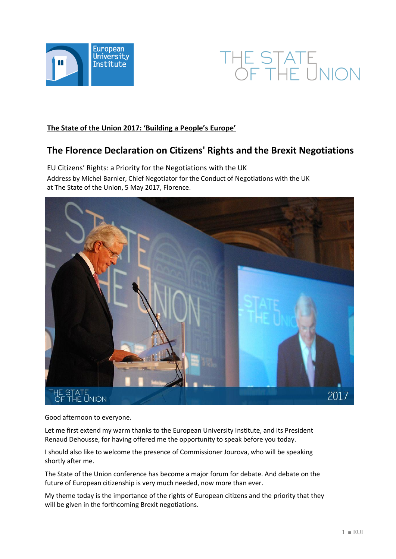



# **The State of the Union 2017: 'Building a People's Europe'**

# **The Florence Declaration on Citizens' Rights and the Brexit Negotiations**

EU Citizens' Rights: a Priority for the Negotiations with the UK Address by Michel Barnier, Chief Negotiator for the Conduct of Negotiations with the UK at The State of the Union, 5 May 2017, Florence.



Good afternoon to everyone.

Let me first extend my warm thanks to the European University Institute, and its President Renaud Dehousse, for having offered me the opportunity to speak before you today.

I should also like to welcome the presence of Commissioner Jourova, who will be speaking shortly after me.

The State of the Union conference has become a major forum for debate. And debate on the future of European citizenship is very much needed, now more than ever.

My theme today is the importance of the rights of European citizens and the priority that they will be given in the forthcoming Brexit negotiations.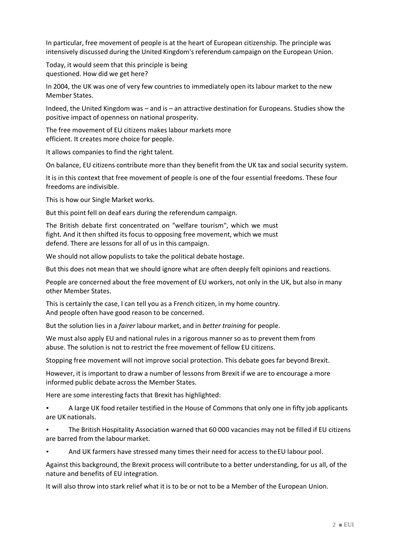In particular, free movement of people is at the heart of European citizenship. The principle was intensively discussed during the United Kingdom's referendum campaign on the European Union.

Today, it would seem that this principle is being questioned. How did we get here?

In 2004, the UK was one of very few countries to immediately open its labour market to the new Member States.

Indeed, the United Kingdom was – and is – an attractive destination for Europeans. Studies show the positive impact of openness on national prosperity.

The free movement of EU citizens makes labour markets more efficient. It creates more choice for people.

It allows companies to find the right talent.

On balance, EU citizens contribute more than they benefit from the UK tax and social security system.

It is in this context that free movement of people is one of the four essential freedoms. These four freedoms are indivisible.

This is how our Single Market works.

But this point fell on deaf ears during the referendum campaign.

The British debate first concentrated on "welfare tourism", which we must fight. And it then shifted its focus to opposing free movement, which we must defend. There are lessons for all of us in this campaign.

We should not allow populists to take the political debate hostage.

But this does not mean that we should ignore what are often deeply felt opinions and reactions.

People are concerned about the free movement of EU workers, not only in the UK, but also in many other Member States.

This is certainly the case, I can tell you as a French citizen, in my home country. And people often have good reason to be concerned.

But the solution lies in a *fairer* labour market, and in *better training* for people.

We must also apply EU and national rules in a rigorous manner so as to prevent them from abuse. The solution is not to restrict the free movement of fellow EU citizens.

Stopping free movement will not improve social protection. This debate goes far beyond Brexit.

However, it is important to draw a number of lessons from Brexit if we are to encourage a more informed public debate across the Member States.

Here are some interesting facts that Brexit has highlighted:

• A large UK food retailer testified in the House of Commons that only one in fifty job applicants are UK nationals.

• The British Hospitality Association warned that 60 000 vacancies may not be filled if EU citizens are barred from the labour market.

• And UK farmers have stressed many times their need for access to theEU labour pool.

Against this background, the Brexit process will contribute to a better understanding, for us all, of the nature and benefits of EU integration.

It will also throw into stark relief what it is to be or not to be a Member of the European Union.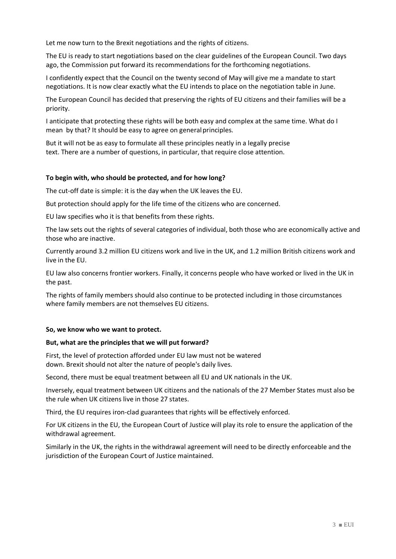Let me now turn to the Brexit negotiations and the rights of citizens.

The EU is ready to start negotiations based on the clear guidelines of the European Council. Two days ago, the Commission put forward its recommendations for the forthcoming negotiations.

I confidently expect that the Council on the twenty second of May will give me a mandate to start negotiations. It is now clear exactly what the EU intends to place on the negotiation table in June.

The European Council has decided that preserving the rights of EU citizens and their families will be a priority.

I anticipate that protecting these rights will be both easy and complex at the same time. What do I mean by that? It should be easy to agree on generalprinciples.

But it will not be as easy to formulate all these principles neatly in a legally precise text. There are a number of questions, in particular, that require close attention.

# **To begin with, who should be protected, and for how long?**

The cut-off date is simple: it is the day when the UK leaves the EU.

But protection should apply for the life time of the citizens who are concerned.

EU law specifies who it is that benefits from these rights.

The law sets out the rights of several categories of individual, both those who are economically active and those who are inactive.

Currently around 3.2 million EU citizens work and live in the UK, and 1.2 million British citizens work and live in the EU.

EU law also concerns frontier workers. Finally, it concerns people who have worked or lived in the UK in the past.

The rights of family members should also continue to be protected including in those circumstances where family members are not themselves EU citizens.

#### **So, we know who we want to protect.**

#### **But, what are the principles that we will put forward?**

First, the level of protection afforded under EU law must not be watered down. Brexit should not alter the nature of people's daily lives.

Second, there must be equal treatment between all EU and UK nationals in the UK.

Inversely, equal treatment between UK citizens and the nationals of the 27 Member States must also be the rule when UK citizens live in those 27 states.

Third, the EU requires iron-clad guarantees that rights will be effectively enforced.

For UK citizens in the EU, the European Court of Justice will play its role to ensure the application of the withdrawal agreement.

Similarly in the UK, the rights in the withdrawal agreement will need to be directly enforceable and the jurisdiction of the European Court of Justice maintained.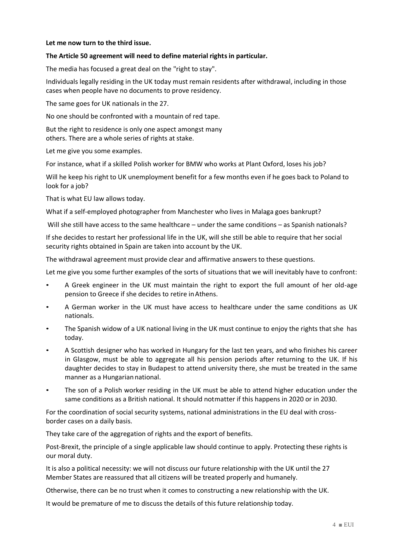## **Let me now turn to the third issue.**

### **The Article 50 agreement will need to define material rights in particular.**

The media has focused a great deal on the "right to stay".

Individuals legally residing in the UK today must remain residents after withdrawal, including in those cases when people have no documents to prove residency.

The same goes for UK nationals in the 27.

No one should be confronted with a mountain of red tape.

But the right to residence is only one aspect amongst many others. There are a whole series of rights at stake.

Let me give you some examples.

For instance, what if a skilled Polish worker for BMW who works at Plant Oxford, loses his job?

Will he keep his right to UK unemployment benefit for a few months even if he goes back to Poland to look for a job?

That is what EU law allows today.

What if a self-employed photographer from Manchester who lives in Malaga goes bankrupt?

Will she still have access to the same healthcare – under the same conditions – as Spanish nationals?

If she decides to restart her professional life in the UK, will she still be able to require that her social security rights obtained in Spain are taken into account by the UK.

The withdrawal agreement must provide clear and affirmative answers to these questions.

Let me give you some further examples of the sorts of situations that we will inevitably have to confront:

- A Greek engineer in the UK must maintain the right to export the full amount of her old-age pension to Greece if she decides to retire inAthens.
- A German worker in the UK must have access to healthcare under the same conditions as UK nationals.
- The Spanish widow of a UK national living in the UK must continue to enjoy the rights that she has today.
- A Scottish designer who has worked in Hungary for the last ten years, and who finishes his career in Glasgow, must be able to aggregate all his pension periods after returning to the UK. If his daughter decides to stay in Budapest to attend university there, she must be treated in the same manner as a Hungarian national.
- The son of a Polish worker residing in the UK must be able to attend higher education under the same conditions as a British national. It should notmatter if this happens in 2020 or in 2030.

For the coordination of social security systems, national administrations in the EU deal with crossborder cases on a daily basis.

They take care of the aggregation of rights and the export of benefits.

Post-Brexit, the principle of a single applicable law should continue to apply. Protecting these rights is our moral duty.

It is also a political necessity: we will not discuss our future relationship with the UK until the 27 Member States are reassured that all citizens will be treated properly and humanely.

Otherwise, there can be no trust when it comes to constructing a new relationship with the UK.

It would be premature of me to discuss the details of this future relationship today.